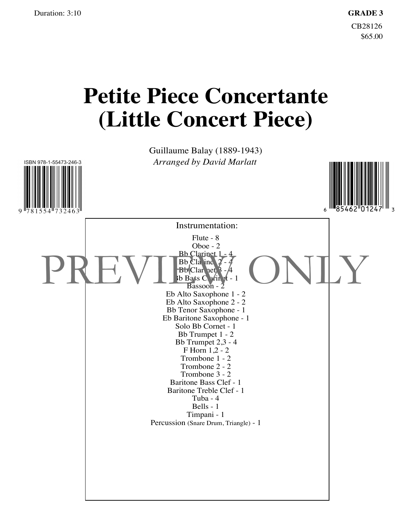\$65.00

## **Petite Piece Concertante (Little Concert Piece)**

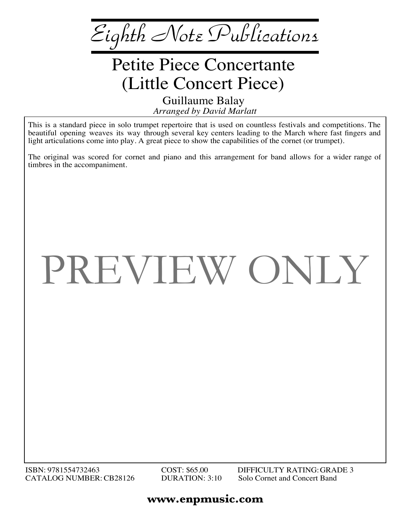*Eighth Note Publications*

## Petite Piece Concertante (Little Concert Piece)

*Arranged by David Marlatt* Guillaume Balay

This is a standard piece in solo trumpet repertoire that is used on countless festivals and competitions. The beautiful opening weaves its way through several key centers leading to the March where fast fingers and light articulations come into play. A great piece to show the capabilities of the cornet (or trumpet).

The original was scored for cornet and piano and this arrangement for band allows for a wider range of timbres in the accompaniment.

## PREVIEW ONLY

ISBN: 9781554732463 CATALOG NUMBER: CB28126 COST: \$65.00 DURATION: 3:10 DIFFICULTY RATING:GRADE 3 Solo Cornet and Concert Band

## **www.enpmusic.com**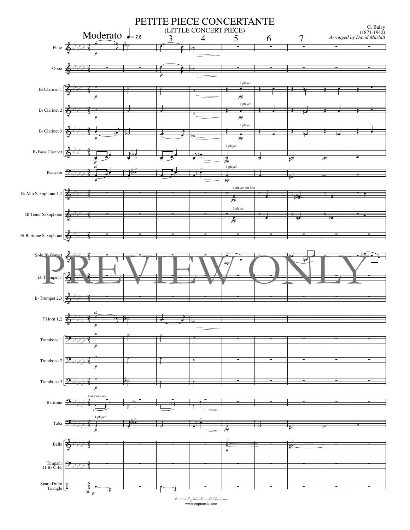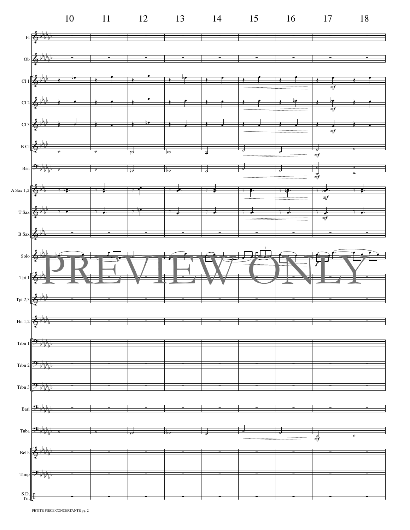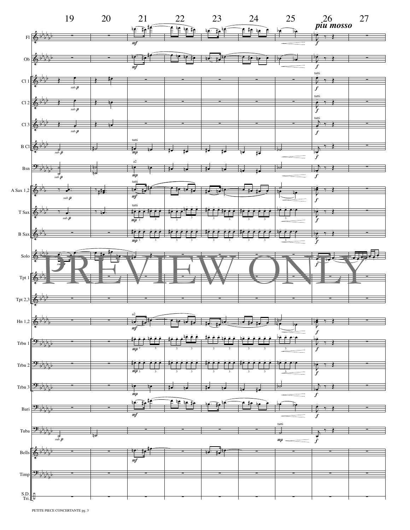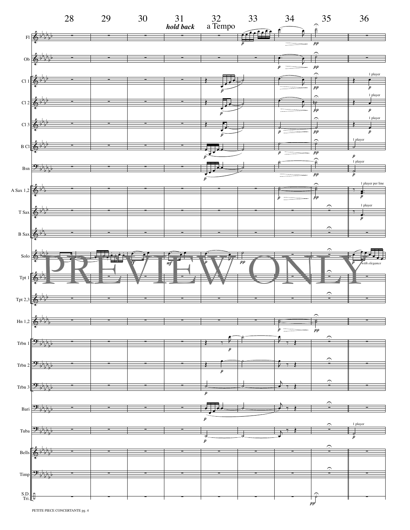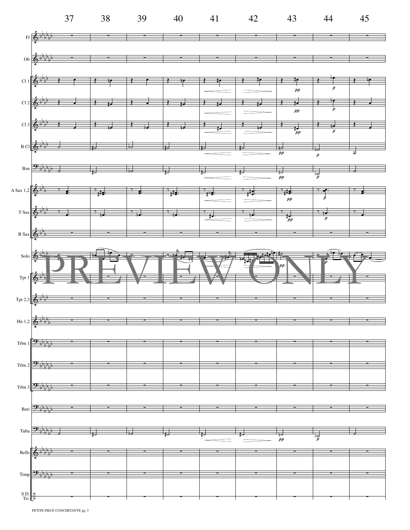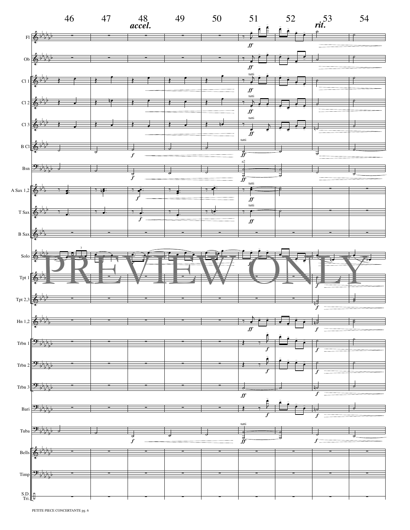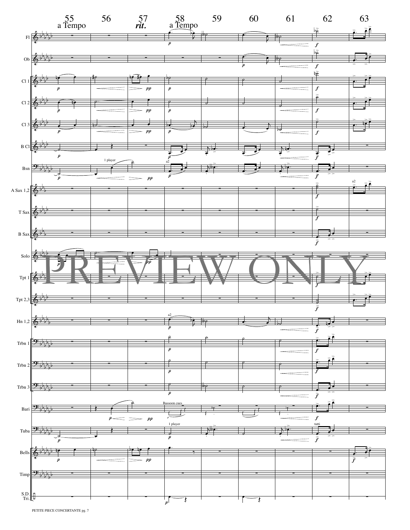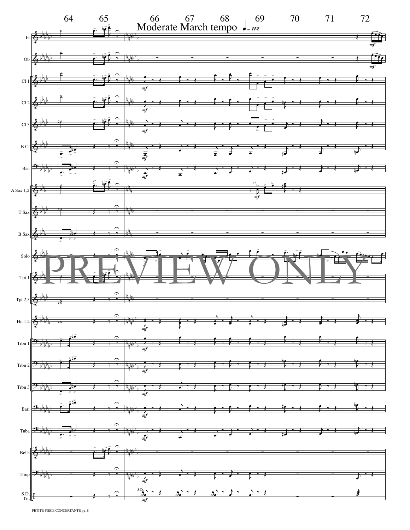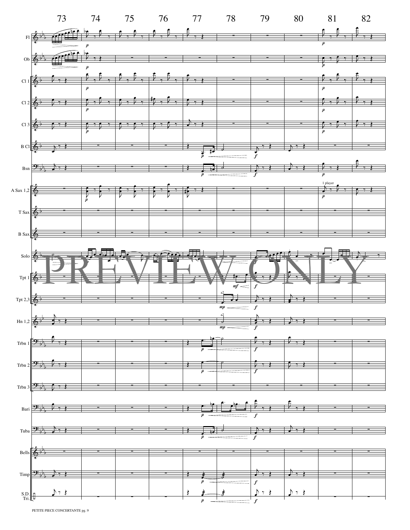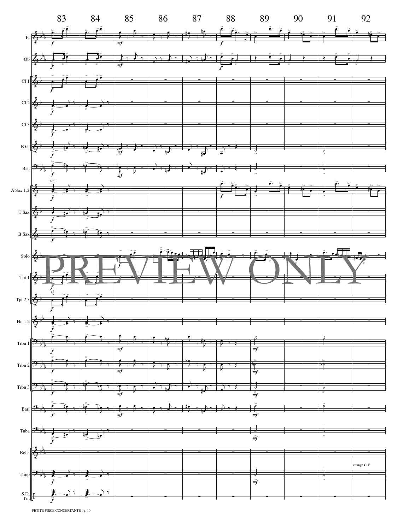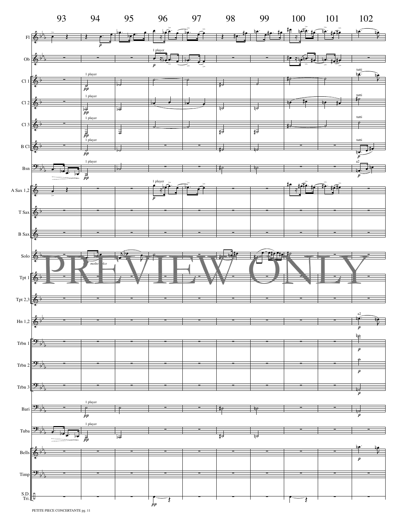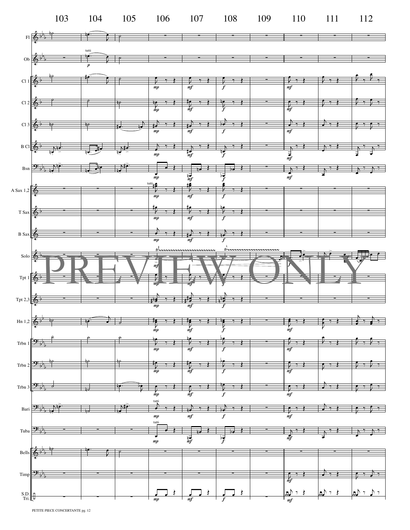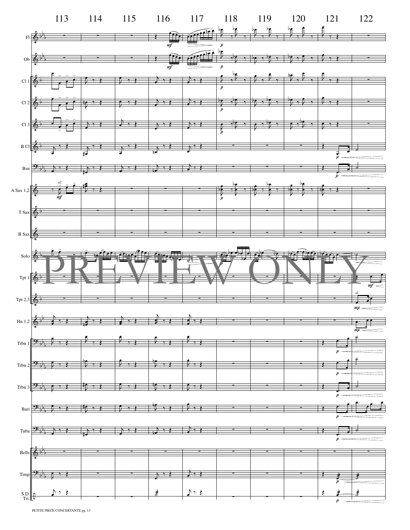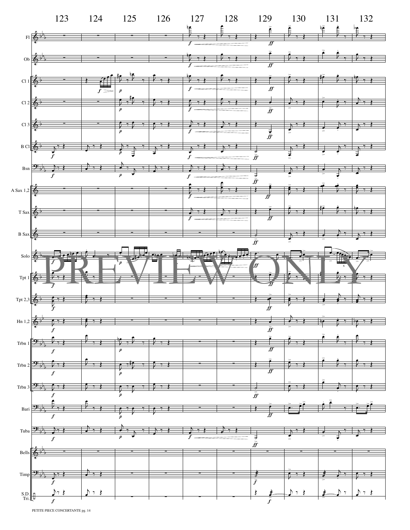